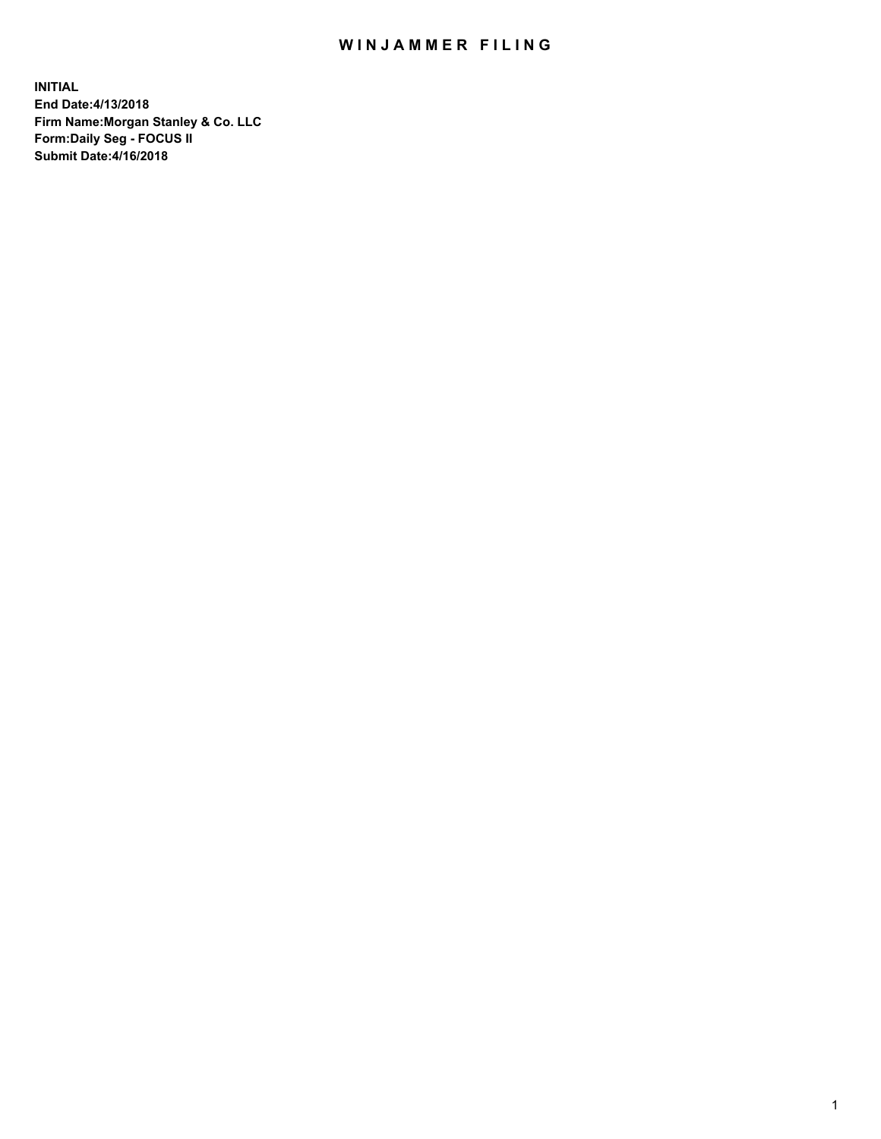## WIN JAMMER FILING

**INITIAL End Date:4/13/2018 Firm Name:Morgan Stanley & Co. LLC Form:Daily Seg - FOCUS II Submit Date:4/16/2018**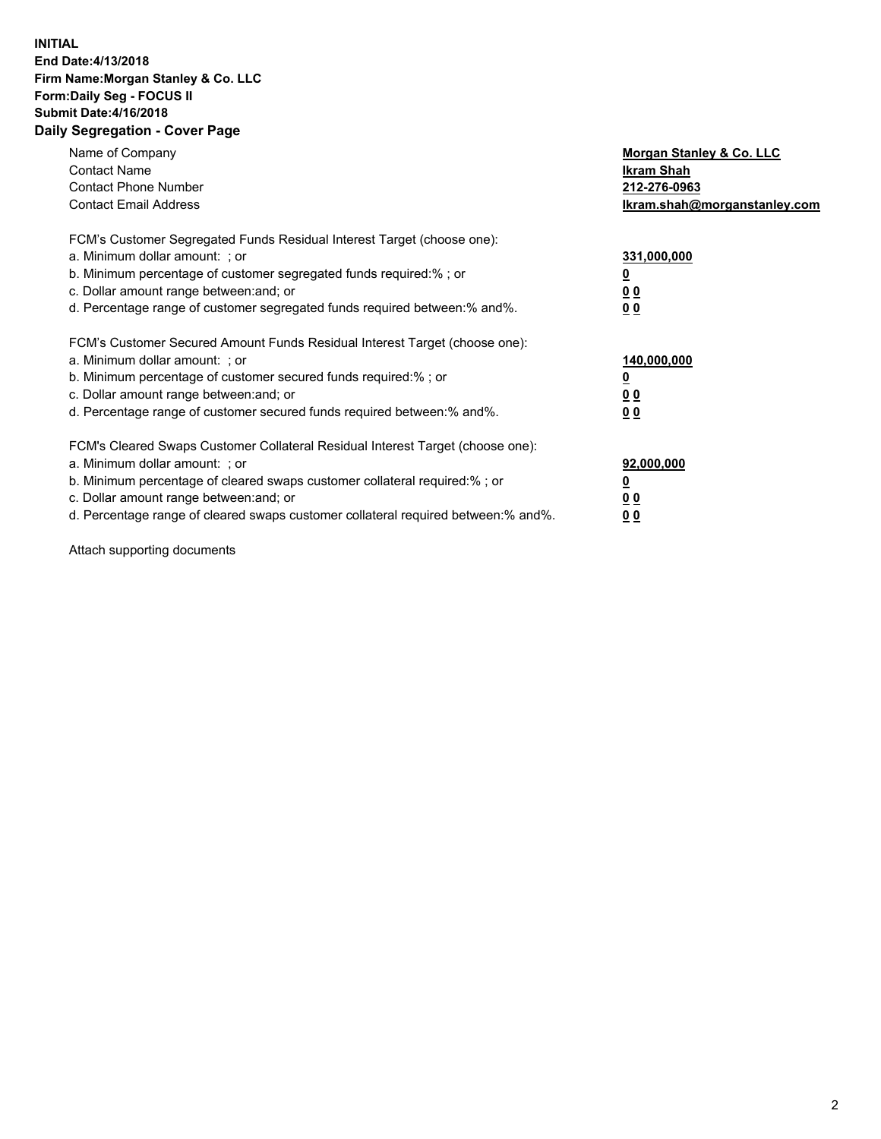## **INITIAL End Date:4/13/2018 Firm Name:Morgan Stanley & Co. LLC Form:Daily Seg - FOCUS II Submit Date:4/16/2018 Daily Segregation - Cover Page**

| Name of Company<br><b>Contact Name</b><br><b>Contact Phone Number</b><br><b>Contact Email Address</b>                                                                                                                                                                                                                          | Morgan Stanley & Co. LLC<br>Ikram Shah<br>212-276-0963<br>lkram.shah@morganstanley.com |
|--------------------------------------------------------------------------------------------------------------------------------------------------------------------------------------------------------------------------------------------------------------------------------------------------------------------------------|----------------------------------------------------------------------------------------|
| FCM's Customer Segregated Funds Residual Interest Target (choose one):<br>a. Minimum dollar amount: ; or<br>b. Minimum percentage of customer segregated funds required:%; or<br>c. Dollar amount range between: and; or<br>d. Percentage range of customer segregated funds required between:% and%.                          | 331,000,000<br><u>0</u><br>0 <sub>0</sub><br>00                                        |
| FCM's Customer Secured Amount Funds Residual Interest Target (choose one):<br>a. Minimum dollar amount: ; or<br>b. Minimum percentage of customer secured funds required:%; or<br>c. Dollar amount range between: and; or<br>d. Percentage range of customer secured funds required between:% and%.                            | 140,000,000<br>0 <sub>0</sub><br>0 <sub>0</sub>                                        |
| FCM's Cleared Swaps Customer Collateral Residual Interest Target (choose one):<br>a. Minimum dollar amount: ; or<br>b. Minimum percentage of cleared swaps customer collateral required:% ; or<br>c. Dollar amount range between: and; or<br>d. Percentage range of cleared swaps customer collateral required between:% and%. | 92,000,000<br>0 <sub>0</sub><br><u>00</u>                                              |

Attach supporting documents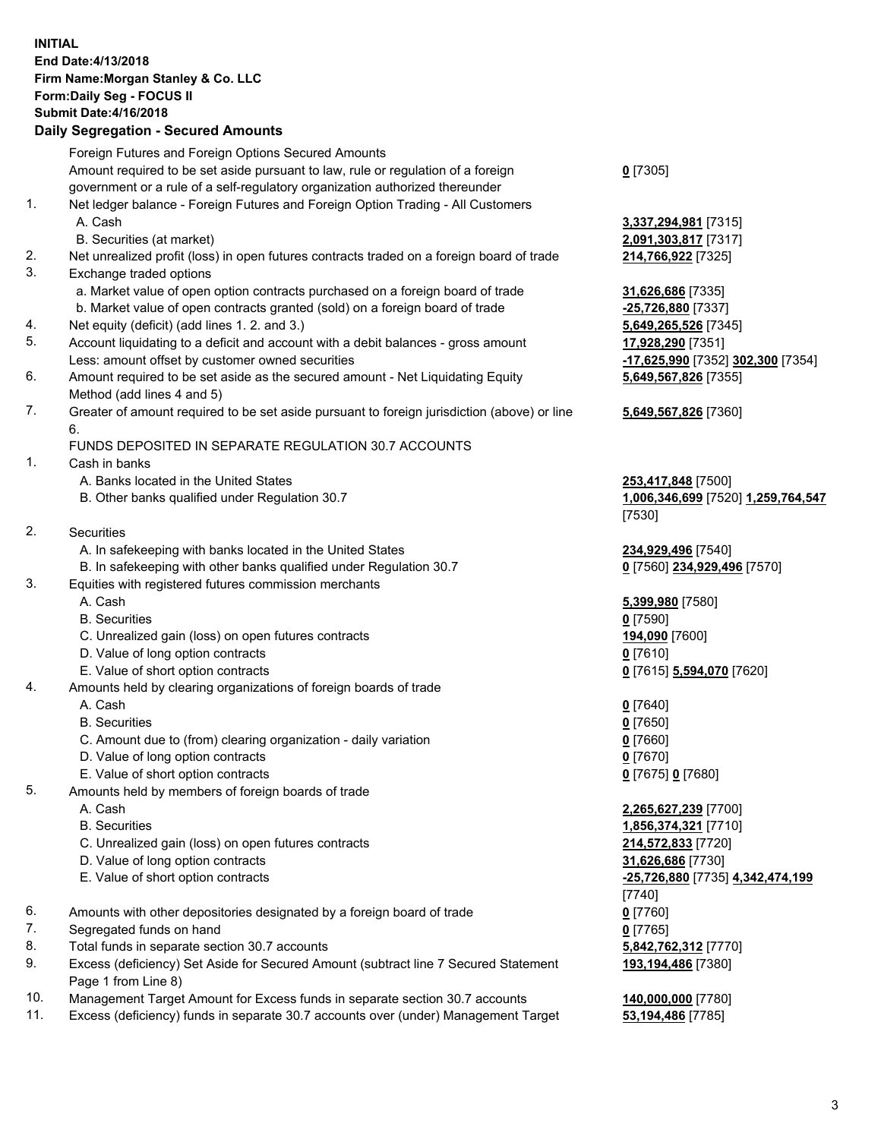## **INITIAL End Date:4/13/2018 Firm Name:Morgan Stanley & Co. LLC Form:Daily Seg - FOCUS II Submit Date:4/16/2018 Daily Segregation - Secured Amounts**

Foreign Futures and Foreign Options Secured Amounts Amount required to be set aside pursuant to law, rule or regulation of a foreign government or a rule of a self-regulatory organization authorized thereunder 1. Net ledger balance - Foreign Futures and Foreign Option Trading - All Customers A. Cash **3,337,294,981** [7315] B. Securities (at market) **2,091,303,817** [7317] 2. Net unrealized profit (loss) in open futures contracts traded on a foreign board of trade **214,766,922** [7325] 3. Exchange traded options a. Market value of open option contracts purchased on a foreign board of trade **31,626,686** [7335] b. Market value of open contracts granted (sold) on a foreign board of trade **-25,726,880** [7337] 4. Net equity (deficit) (add lines 1. 2. and 3.) **5,649,265,526** [7345] 5. Account liquidating to a deficit and account with a debit balances - gross amount **17,928,290** [7351] Less: amount offset by customer owned securities **-17,625,990** [7352] **302,300** [7354] 6. Amount required to be set aside as the secured amount - Net Liquidating Equity Method (add lines 4 and 5) 7. Greater of amount required to be set aside pursuant to foreign jurisdiction (above) or line 6. FUNDS DEPOSITED IN SEPARATE REGULATION 30.7 ACCOUNTS 1. Cash in banks A. Banks located in the United States **253,417,848** [7500] B. Other banks qualified under Regulation 30.7 **1,006,346,699** [7520] **1,259,764,547** 2. Securities A. In safekeeping with banks located in the United States **234,929,496** [7540] B. In safekeeping with other banks qualified under Regulation 30.7 **0** [7560] **234,929,496** [7570] 3. Equities with registered futures commission merchants A. Cash **5,399,980** [7580] B. Securities **0** [7590] C. Unrealized gain (loss) on open futures contracts **194,090** [7600] D. Value of long option contracts **0** [7610] E. Value of short option contracts **0** [7615] **5,594,070** [7620] 4. Amounts held by clearing organizations of foreign boards of trade A. Cash **0** [7640] B. Securities **0** [7650] C. Amount due to (from) clearing organization - daily variation **0** [7660] D. Value of long option contracts **0** [7670] E. Value of short option contracts **0** [7675] **0** [7680] 5. Amounts held by members of foreign boards of trade A. Cash **2,265,627,239** [7700] B. Securities **1,856,374,321** [7710] C. Unrealized gain (loss) on open futures contracts **214,572,833** [7720] D. Value of long option contracts **31,626,686** [7730] E. Value of short option contracts **-25,726,880** [7735] **4,342,474,199** 6. Amounts with other depositories designated by a foreign board of trade **0** [7760] 7. Segregated funds on hand **0** [7765] 8. Total funds in separate section 30.7 accounts **5,842,762,312** [7770] 9. Excess (deficiency) Set Aside for Secured Amount (subtract line 7 Secured Statement Page 1 from Line 8) 10. Management Target Amount for Excess funds in separate section 30.7 accounts **140,000,000** [7780]

11. Excess (deficiency) funds in separate 30.7 accounts over (under) Management Target **53,194,486** [7785]

**0** [7305]

**5,649,567,826** [7355]

## **5,649,567,826** [7360]

[7530]

[7740] **193,194,486** [7380]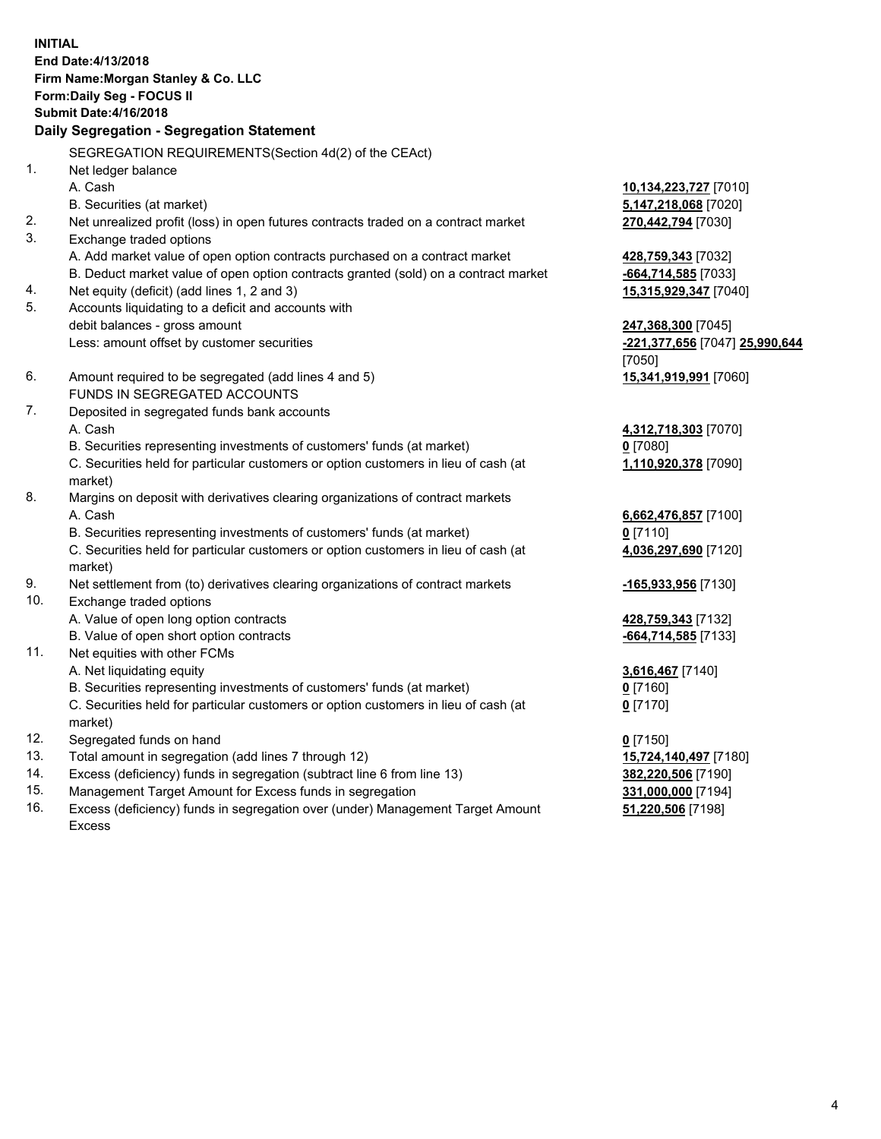**INITIAL End Date:4/13/2018 Firm Name:Morgan Stanley & Co. LLC Form:Daily Seg - FOCUS II Submit Date:4/16/2018 Daily Segregation - Segregation Statement** SEGREGATION REQUIREMENTS(Section 4d(2) of the CEAct) 1. Net ledger balance A. Cash **10,134,223,727** [7010] B. Securities (at market) **5,147,218,068** [7020] 2. Net unrealized profit (loss) in open futures contracts traded on a contract market **270,442,794** [7030] 3. Exchange traded options A. Add market value of open option contracts purchased on a contract market **428,759,343** [7032] B. Deduct market value of open option contracts granted (sold) on a contract market **-664,714,585** [7033] 4. Net equity (deficit) (add lines 1, 2 and 3) **15,315,929,347** [7040] 5. Accounts liquidating to a deficit and accounts with debit balances - gross amount **247,368,300** [7045] Less: amount offset by customer securities **-221,377,656** [7047] **25,990,644** [7050] 6. Amount required to be segregated (add lines 4 and 5) **15,341,919,991** [7060] FUNDS IN SEGREGATED ACCOUNTS 7. Deposited in segregated funds bank accounts A. Cash **4,312,718,303** [7070] B. Securities representing investments of customers' funds (at market) **0** [7080] C. Securities held for particular customers or option customers in lieu of cash (at market) **1,110,920,378** [7090] 8. Margins on deposit with derivatives clearing organizations of contract markets A. Cash **6,662,476,857** [7100] B. Securities representing investments of customers' funds (at market) **0** [7110] C. Securities held for particular customers or option customers in lieu of cash (at market) **4,036,297,690** [7120] 9. Net settlement from (to) derivatives clearing organizations of contract markets **-165,933,956** [7130] 10. Exchange traded options A. Value of open long option contracts **428,759,343** [7132] B. Value of open short option contracts **-664,714,585** [7133] 11. Net equities with other FCMs A. Net liquidating equity **3,616,467** [7140] B. Securities representing investments of customers' funds (at market) **0** [7160] C. Securities held for particular customers or option customers in lieu of cash (at market) **0** [7170] 12. Segregated funds on hand **0** [7150] 13. Total amount in segregation (add lines 7 through 12) **15,724,140,497** [7180] 14. Excess (deficiency) funds in segregation (subtract line 6 from line 13) **382,220,506** [7190] 15. Management Target Amount for Excess funds in segregation **331,000,000** [7194]

16. Excess (deficiency) funds in segregation over (under) Management Target Amount Excess

**51,220,506** [7198]